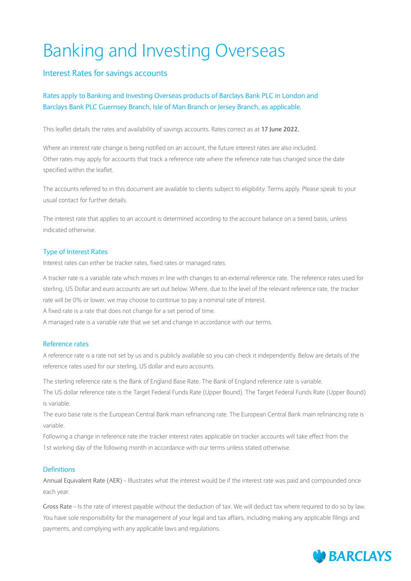# Banking and Investing Overseas

#### Interest Rates for savings accounts

#### Rates apply to Banking and Investing Overseas products of Barclays Bank PLC in London and Barclays Bank PLC Guernsey Branch, Isle of Man Branch or Jersey Branch, as applicable.

This leaflet details the rates and availability of savings accounts. Rates correct as at **17 June 2022.**

Where an interest rate change is being notified on an account, the future interest rates are also included. Other rates may apply for accounts that track a reference rate where the reference rate has changed since the date specified within the leaflet.

The accounts referred to in this document are available to clients subject to eligibility. Terms apply. Please speak to your usual contact for further details.

The interest rate that applies to an account is determined according to the account balance on a tiered basis, unless indicated otherwise.

#### Type of Interest Rates

Interest rates can either be tracker rates, fixed rates or managed rates.

A tracker rate is a variable rate which moves in line with changes to an external reference rate. The reference rates used for sterling, US Dollar and euro accounts are set out below. Where, due to the level of the relevant reference rate, the tracker rate will be 0% or lower, we may choose to continue to pay a nominal rate of interest.

A fixed rate is a rate that does not change for a set period of time.

A managed rate is a variable rate that we set and change in accordance with our terms.

#### Reference rates

A reference rate is a rate not set by us and is publicly available so you can check it independently. Below are details of the reference rates used for our sterling, US dollar and euro accounts.

The sterling reference rate is the Bank of England Base Rate. The Bank of England reference rate is variable.

The US dollar reference rate is the Target Federal Funds Rate (Upper Bound). The Target Federal Funds Rate (Upper Bound) is variable.

The euro base rate is the European Central Bank main refinancing rate. The European Central Bank main refinancing rate is variable.

Following a change in reference rate the tracker interest rates applicable on tracker accounts will take effect from the 1st working day of the following month in accordance with our terms unless stated otherwise.

#### **Definitions**

Annual Equivalent Rate (AER) – Illustrates what the interest would be if the interest rate was paid and compounded once each year.

Gross Rate – Is the rate of interest payable without the deduction of tax. We will deduct tax where required to do so by law. You have sole responsibility for the management of your legal and tax affairs, including making any applicable filings and payments, and complying with any applicable laws and regulations.

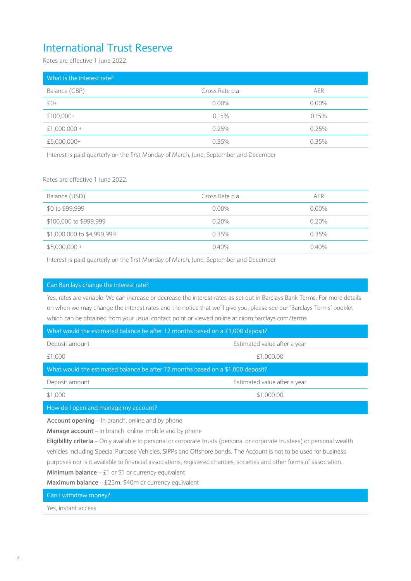## International Trust Reserve

Rates are effective 1 June 2022.

| What is the interest rate? |                 |            |
|----------------------------|-----------------|------------|
| Balance (GBP)              | Gross Rate p.a. | <b>AER</b> |
| $£0+$                      | $0.00\%$        | $0.00\%$   |
| £100,000+                  | 0.15%           | 0.15%      |
| $£1,000,000+$              | 0.25%           | 0.25%      |
| £5,000,000+                | $0.35\%$        | $0.35\%$   |

Interest is paid quarterly on the first Monday of March, June, September and December

Rates are effective 1 June 2022.

| Balance (USD)              | Gross Rate p.a. | <b>AER</b> |
|----------------------------|-----------------|------------|
| \$0 to \$99,999            | $0.00\%$        | $0.00\%$   |
| \$100,000 to \$999,999     | $0.20\%$        | $0.20\%$   |
| \$1,000,000 to \$4,999,999 | $0.35\%$        | $0.35\%$   |
| $$5,000,000+$              | $0.40\%$        | $0.40\%$   |

Interest is paid quarterly on the first Monday of March, June, September and December

#### Can Barclays change the interest rate?

Yes, rates are variable. We can increase or decrease the interest rates as set out in Barclays Bank Terms. For more details on when we may change the interest rates and the notice that we'll give you, please see our 'Barclays Terms' booklet which can be obtained from your usual contact point or viewed online at ciiom.barclays.com/terms

| What would the estimated balance be after 12 months based on a £1,000 deposit?  |                              |  |  |
|---------------------------------------------------------------------------------|------------------------------|--|--|
| Deposit amount                                                                  | Estimated value after a year |  |  |
| £1,000                                                                          | £1,000.00                    |  |  |
| What would the estimated balance be after 12 months based on a \$1,000 deposit? |                              |  |  |
| Deposit amount                                                                  | Estimated value after a year |  |  |
| \$1,000                                                                         | \$1,000.00                   |  |  |
|                                                                                 |                              |  |  |

How do I open and manage my account?

**Account opening** – In branch, online and by phone

**Manage account** – In branch, online, mobile and by phone

**Eligibility criteria** – Only available to personal or corporate trusts (personal or corporate trustees) or personal wealth vehicles including Special Purpose Vehicles, SIPPs and Offshore bonds. The Account is not to be used for business purposes nor is it available to financial associations, registered charities, societies and other forms of association.

**Minimum balance** – £1 or \$1 or currency equivalent

**Maximum balance** – £25m, \$40m or currency equivalent

Can I withdraw money?

Yes, instant access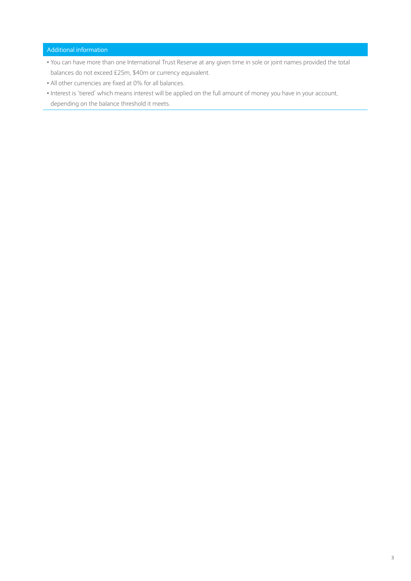#### Additional information

- You can have more than one International Trust Reserve at any given time in sole or joint names provided the total balances do not exceed £25m, \$40m or currency equivalent.
- All other currencies are fixed at 0% for all balances.
- Interest is 'tiered' which means interest will be applied on the full amount of money you have in your account, depending on the balance threshold it meets.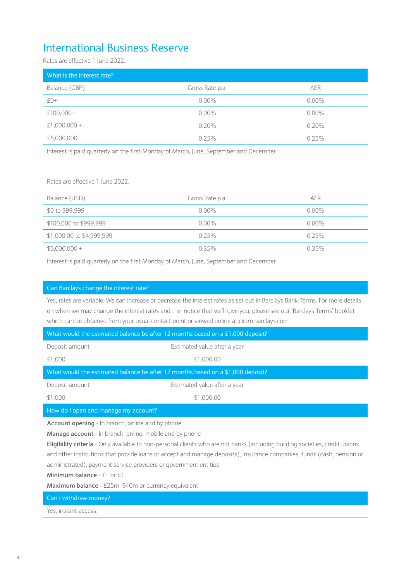### International Business Reserve

Rates are effective 1 June 2022.

| What is the interest rate? |                 |          |
|----------------------------|-----------------|----------|
| Balance (GBP)              | Gross Rate p.a. | AER      |
| $f(0+$                     | $0.00\%$        | $0.00\%$ |
| £100,000+                  | $0.00\%$        | $0.00\%$ |
| $£1,000,000+$              | $0.20\%$        | 0.20%    |
| £5,000,000+                | 0.25%           | 0.25%    |

Interest is paid quarterly on the first Monday of March, June, September and December

Rates are effective 1 June 2022.

| Balance (USD)             | Gross Rate p.a. | AER      |
|---------------------------|-----------------|----------|
| \$0 to \$99,999           | $0.00\%$        | $0.00\%$ |
| \$100,000 to \$999,999    | $0.00\%$        | $0.00\%$ |
| \$1,000,00 to \$4,999,999 | 0.25%           | 0.25%    |
| $$5,000,000+$             | 0.35%           | 0.35%    |

Interest is paid quarterly on the first Monday of March, June, September and December

#### Can Barclays change the interest rate?

Yes, rates are variable. We can increase or decrease the interest rates as set out in Barclays Bank Terms. For more details on when we may change the interest rates and the notice that we'll give you, please see our 'Barclays Terms' booklet which can be obtained from your usual contact point or viewed online at ciiom.barclays.com

| What would the estimated balance be after 12 months based on a £1,000 deposit?  |                              |  |  |
|---------------------------------------------------------------------------------|------------------------------|--|--|
| Deposit amount                                                                  | Estimated value after a year |  |  |
| £1,000                                                                          | £1,000.00                    |  |  |
| What would the estimated balance be after 12 months based on a \$1,000 deposit? |                              |  |  |
| Deposit amount                                                                  | Estimated value after a year |  |  |
| \$1,000                                                                         | \$1,000.00                   |  |  |
| How do I open and manage my account?                                            |                              |  |  |
|                                                                                 |                              |  |  |

**Account opening** - In branch, online and by phone

**Manage account** - In branch, online, mobile and by phone

**Eligibility criteria** - Only available to non-personal clients who are not banks (including building societies, credit unions and other institutions that provide loans or accept and manage deposits), insurance companies, funds (cash, pension or administrated), payment service providers or government entities

**Minimum balance** - £1 or \$1

**Maximum balance** - £25m, \$40m or currency equivalent

Can I withdraw money?

Yes, instant access.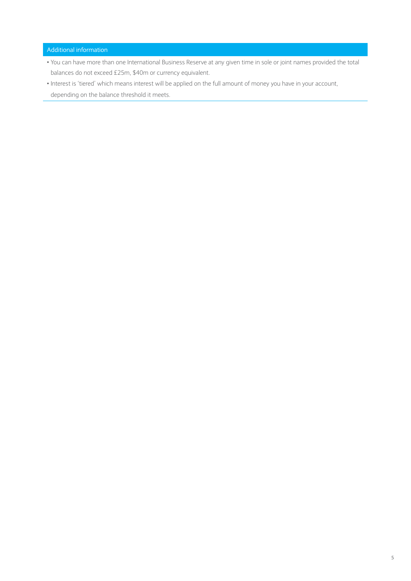Additional information

- You can have more than one International Business Reserve at any given time in sole or joint names provided the total balances do not exceed £25m, \$40m or currency equivalent.
- Interest is 'tiered' which means interest will be applied on the full amount of money you have in your account, depending on the balance threshold it meets.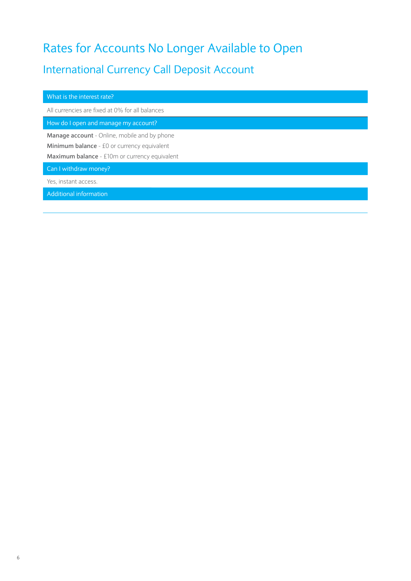## Rates for Accounts No Longer Available to Open

## International Currency Call Deposit Account

| What is the interest rate?                                                                                                                          |
|-----------------------------------------------------------------------------------------------------------------------------------------------------|
| All currencies are fixed at 0% for all balances                                                                                                     |
| How do I open and manage my account?                                                                                                                |
| <b>Manage account</b> - Online, mobile and by phone<br>Minimum balance - £0 or currency equivalent<br>Maximum balance - £10m or currency equivalent |
| Can I withdraw money?                                                                                                                               |
| Yes, instant access.                                                                                                                                |
| Additional information                                                                                                                              |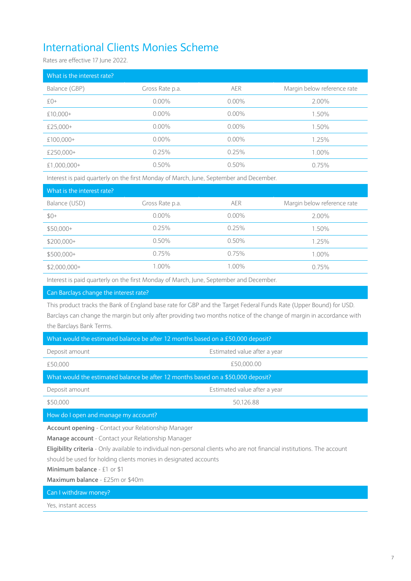## International Clients Monies Scheme

Rates are effective 17 June 2022.

| What is the interest rate? |                 |            |                             |
|----------------------------|-----------------|------------|-----------------------------|
| Balance (GBP)              | Gross Rate p.a. | <b>AER</b> | Margin below reference rate |
| $f()+$                     | $0.00\%$        | $0.00\%$   | 2.00%                       |
| $£10,000+$                 | $0.00\%$        | $0.00\%$   | 1.50%                       |
| £25.000+                   | $0.00\%$        | $0.00\%$   | 1.50%                       |
| £100,000+                  | $0.00\%$        | $0.00\%$   | 1.25%                       |
| £250,000+                  | 0.25%           | 0.25%      | 1.00%                       |
| $£1,000,000+$              | $0.50\%$        | $0.50\%$   | 0.75%                       |
|                            |                 |            |                             |

Interest is paid quarterly on the first Monday of March, June, September and December.

| What is the interest rate? |                 |            |                             |
|----------------------------|-----------------|------------|-----------------------------|
| Balance (USD)              | Gross Rate p.a. | <b>AER</b> | Margin below reference rate |
| $$0+$                      | $0.00\%$        | $0.00\%$   | 2.00%                       |
| $$50,000+$                 | 0.25%           | 0.25%      | 1.50%                       |
| $$200,000+$                | $0.50\%$        | $0.50\%$   | 1.25%                       |
| $$500,000+$                | 0.75%           | 0.75%      | 1.00%                       |
| $$2,000,000+$              | 1.00%           | 1.00%      | 0.75%                       |

Interest is paid quarterly on the first Monday of March, June, September and December.

#### Can Barclays change the interest rate?

This product tracks the Bank of England base rate for GBP and the Target Federal Funds Rate (Upper Bound) for USD. Barclays can change the margin but only after providing two months notice of the change of margin in accordance with the Barclays Bank Terms.

| What would the estimated balance be after 12 months based on a £50,000 deposit?  |                              |  |  |
|----------------------------------------------------------------------------------|------------------------------|--|--|
| Deposit amount                                                                   | Estimated value after a year |  |  |
| £50,000                                                                          | £50,000.00                   |  |  |
| What would the estimated balance be after 12 months based on a \$50,000 deposit? |                              |  |  |
| Deposit amount                                                                   | Estimated value after a year |  |  |
| \$50,000                                                                         | 50,126.88                    |  |  |
| How do I open and manage my account?                                             |                              |  |  |

**Account opening** - Contact your Relationship Manager

**Manage account** - Contact your Relationship Manager

**Eligibility criteria** - Only available to individual non-personal clients who are not financial institutions. The account

should be used for holding clients monies in designated accounts

**Minimum balance** - £1 or \$1

**Maximum balance** - £25m or \$40m

Can I withdraw money?

Yes, instant access